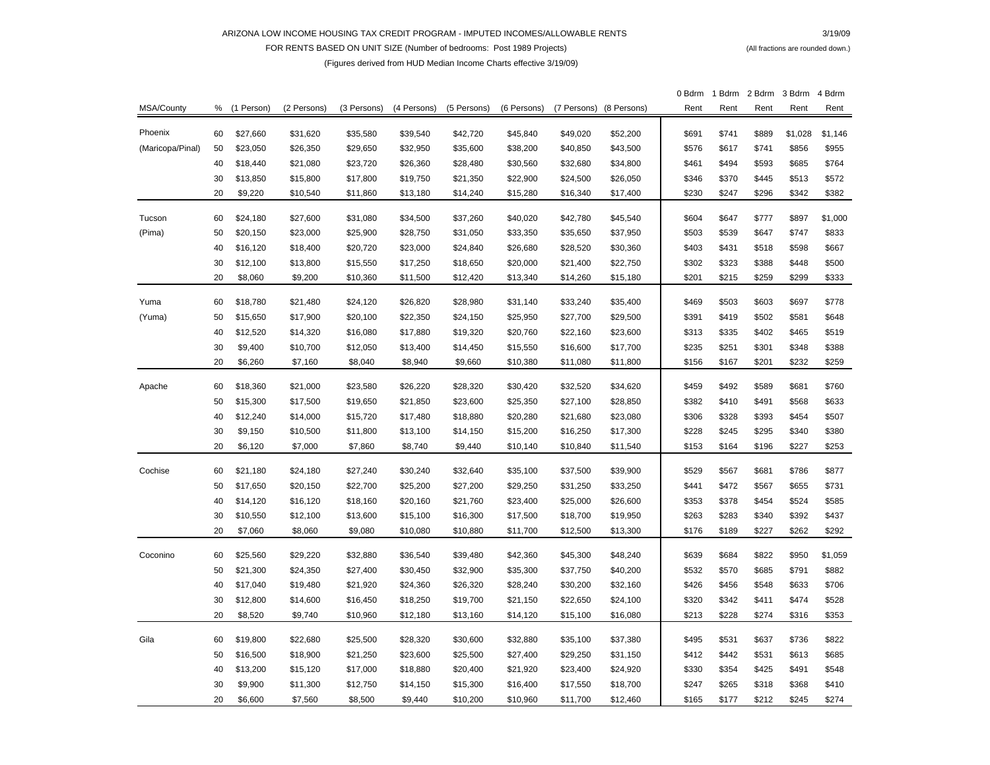## ARIZONA LOW INCOME HOUSING TAX CREDIT PROGRAM - IMPUTED INCOMES/ALLOWABLE RENTS

FOR RENTS BASED ON UNIT SIZE (Number of bedrooms: Post 1989 Projects) **FOR RENTS ACTION** (All fractions are rounded down.)

## (Figures derived from HUD Median Income Charts effective 3/19/09)

|                  |    |            |             |             |             |             |             |             |             | 0 Bdrm | 1 Bdrm | 2 Bdrm | 3 Bdrm  | 4 Bdrm  |
|------------------|----|------------|-------------|-------------|-------------|-------------|-------------|-------------|-------------|--------|--------|--------|---------|---------|
| MSA/County       | %  | (1 Person) | (2 Persons) | (3 Persons) | (4 Persons) | (5 Persons) | (6 Persons) | (7 Persons) | (8 Persons) | Rent   | Rent   | Rent   | Rent    | Rent    |
| Phoenix          | 60 | \$27,660   | \$31,620    | \$35,580    | \$39,540    | \$42,720    | \$45,840    | \$49,020    | \$52,200    | \$691  | \$741  | \$889  | \$1,028 | \$1,146 |
| (Maricopa/Pinal) | 50 | \$23,050   | \$26,350    | \$29,650    | \$32,950    | \$35,600    | \$38,200    | \$40,850    | \$43,500    | \$576  | \$617  | \$741  | \$856   | \$955   |
|                  | 40 | \$18,440   | \$21,080    | \$23,720    | \$26,360    | \$28,480    | \$30,560    | \$32,680    | \$34,800    | \$461  | \$494  | \$593  | \$685   | \$764   |
|                  | 30 | \$13,850   | \$15,800    | \$17,800    | \$19,750    | \$21,350    | \$22,900    | \$24,500    | \$26,050    | \$346  | \$370  | \$445  | \$513   | \$572   |
|                  | 20 | \$9,220    | \$10,540    | \$11,860    | \$13,180    | \$14,240    | \$15,280    | \$16,340    | \$17,400    | \$230  | \$247  | \$296  | \$342   | \$382   |
|                  |    |            |             |             |             |             |             |             |             |        |        |        |         |         |
| Tucson           | 60 | \$24,180   | \$27,600    | \$31,080    | \$34,500    | \$37,260    | \$40,020    | \$42,780    | \$45,540    | \$604  | \$647  | \$777  | \$897   | \$1,000 |
| (Pima)           | 50 | \$20,150   | \$23,000    | \$25,900    | \$28,750    | \$31,050    | \$33,350    | \$35,650    | \$37,950    | \$503  | \$539  | \$647  | \$747   | \$833   |
|                  | 40 | \$16,120   | \$18,400    | \$20,720    | \$23,000    | \$24,840    | \$26,680    | \$28,520    | \$30,360    | \$403  | \$431  | \$518  | \$598   | \$667   |
|                  | 30 | \$12,100   | \$13,800    | \$15,550    | \$17,250    | \$18,650    | \$20,000    | \$21,400    | \$22,750    | \$302  | \$323  | \$388  | \$448   | \$500   |
|                  | 20 | \$8,060    | \$9,200     | \$10,360    | \$11,500    | \$12,420    | \$13,340    | \$14,260    | \$15,180    | \$201  | \$215  | \$259  | \$299   | \$333   |
| Yuma             | 60 | \$18,780   | \$21,480    | \$24,120    | \$26,820    | \$28,980    | \$31,140    | \$33,240    | \$35,400    | \$469  | \$503  | \$603  | \$697   | \$778   |
| (Yuma)           | 50 | \$15,650   | \$17,900    | \$20,100    | \$22,350    | \$24,150    | \$25,950    | \$27,700    | \$29,500    | \$391  | \$419  | \$502  | \$581   | \$648   |
|                  | 40 | \$12,520   | \$14,320    | \$16,080    | \$17,880    | \$19,320    | \$20,760    | \$22,160    | \$23,600    | \$313  | \$335  | \$402  | \$465   | \$519   |
|                  | 30 | \$9,400    | \$10,700    | \$12,050    | \$13,400    | \$14,450    | \$15,550    | \$16,600    | \$17,700    | \$235  | \$251  | \$301  | \$348   | \$388   |
|                  | 20 | \$6,260    | \$7,160     | \$8,040     | \$8,940     | \$9,660     | \$10,380    | \$11,080    | \$11,800    | \$156  | \$167  | \$201  | \$232   | \$259   |
|                  |    |            |             |             |             |             |             |             |             |        |        |        |         |         |
| Apache           | 60 | \$18,360   | \$21,000    | \$23,580    | \$26,220    | \$28,320    | \$30,420    | \$32,520    | \$34,620    | \$459  | \$492  | \$589  | \$681   | \$760   |
|                  | 50 | \$15,300   | \$17,500    | \$19,650    | \$21,850    | \$23,600    | \$25,350    | \$27,100    | \$28,850    | \$382  | \$410  | \$491  | \$568   | \$633   |
|                  | 40 | \$12,240   | \$14,000    | \$15,720    | \$17,480    | \$18,880    | \$20,280    | \$21,680    | \$23,080    | \$306  | \$328  | \$393  | \$454   | \$507   |
|                  | 30 | \$9,150    | \$10,500    | \$11,800    | \$13,100    | \$14,150    | \$15,200    | \$16,250    | \$17,300    | \$228  | \$245  | \$295  | \$340   | \$380   |
|                  | 20 | \$6,120    | \$7,000     | \$7,860     | \$8,740     | \$9,440     | \$10,140    | \$10,840    | \$11,540    | \$153  | \$164  | \$196  | \$227   | \$253   |
| Cochise          | 60 | \$21,180   | \$24,180    | \$27,240    | \$30,240    | \$32,640    | \$35,100    | \$37,500    | \$39,900    | \$529  | \$567  | \$681  | \$786   | \$877   |
|                  | 50 | \$17,650   | \$20,150    | \$22,700    | \$25,200    | \$27,200    | \$29,250    | \$31,250    | \$33,250    | \$441  | \$472  | \$567  | \$655   | \$731   |
|                  | 40 | \$14,120   | \$16,120    | \$18,160    | \$20,160    | \$21,760    | \$23,400    | \$25,000    | \$26,600    | \$353  | \$378  | \$454  | \$524   | \$585   |
|                  | 30 | \$10,550   | \$12,100    | \$13,600    | \$15,100    | \$16,300    | \$17,500    | \$18,700    | \$19,950    | \$263  | \$283  | \$340  | \$392   | \$437   |
|                  | 20 | \$7,060    | \$8,060     | \$9,080     | \$10,080    | \$10,880    | \$11,700    | \$12,500    | \$13,300    | \$176  | \$189  | \$227  | \$262   | \$292   |
|                  |    |            |             |             |             |             |             |             |             |        |        |        |         |         |
| Coconino         | 60 | \$25,560   | \$29,220    | \$32,880    | \$36,540    | \$39,480    | \$42,360    | \$45,300    | \$48,240    | \$639  | \$684  | \$822  | \$950   | \$1,059 |
|                  | 50 | \$21,300   | \$24,350    | \$27,400    | \$30,450    | \$32,900    | \$35,300    | \$37,750    | \$40,200    | \$532  | \$570  | \$685  | \$791   | \$882   |
|                  | 40 | \$17,040   | \$19,480    | \$21,920    | \$24,360    | \$26,320    | \$28,240    | \$30,200    | \$32,160    | \$426  | \$456  | \$548  | \$633   | \$706   |
|                  | 30 | \$12,800   | \$14,600    | \$16,450    | \$18,250    | \$19,700    | \$21,150    | \$22,650    | \$24,100    | \$320  | \$342  | \$411  | \$474   | \$528   |
|                  | 20 | \$8,520    | \$9,740     | \$10,960    | \$12,180    | \$13,160    | \$14,120    | \$15,100    | \$16,080    | \$213  | \$228  | \$274  | \$316   | \$353   |
| Gila             | 60 | \$19,800   | \$22,680    | \$25,500    | \$28,320    | \$30,600    | \$32,880    | \$35,100    | \$37,380    | \$495  | \$531  | \$637  | \$736   | \$822   |
|                  | 50 | \$16,500   | \$18,900    | \$21,250    | \$23,600    | \$25,500    | \$27,400    | \$29,250    | \$31,150    | \$412  | \$442  | \$531  | \$613   | \$685   |
|                  | 40 | \$13,200   | \$15,120    | \$17,000    | \$18,880    | \$20,400    | \$21,920    | \$23,400    | \$24,920    | \$330  | \$354  | \$425  | \$491   | \$548   |
|                  | 30 | \$9,900    | \$11,300    | \$12,750    | \$14,150    | \$15,300    | \$16,400    | \$17,550    | \$18,700    | \$247  | \$265  | \$318  | \$368   | \$410   |
|                  | 20 | \$6.600    | \$7.560     | \$8.500     | \$9.440     | \$10,200    | \$10.960    | \$11.700    | \$12.460    | \$165  | \$177  | \$212  | \$245   | \$274   |

## $3/19/09$